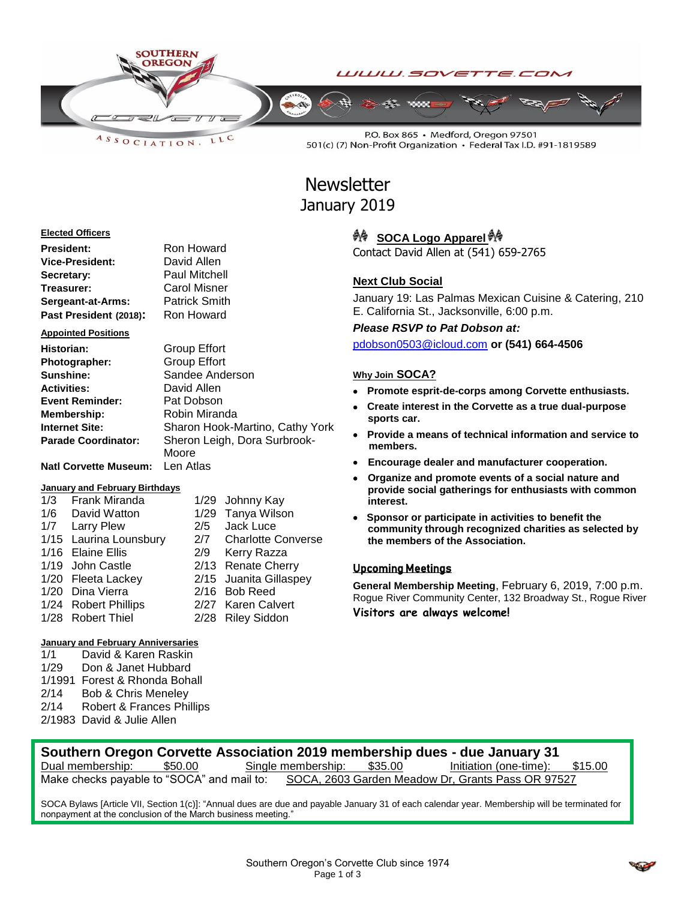

LLC  $A S S O C IAT I O N$ 

P.O. Box 865 · Medford, Oregon 97501 501(c) (7) Non-Profit Organization · Federal Tax I.D. #91-1819589

# **Newsletter** January 2019

#### **Elected Officers**

| President:             | Ron Howard           |  |  |  |  |
|------------------------|----------------------|--|--|--|--|
| Vice-President:        | David Allen          |  |  |  |  |
| Secretary:             | <b>Paul Mitchell</b> |  |  |  |  |
| Treasurer:             | <b>Carol Misner</b>  |  |  |  |  |
| Sergeant-at-Arms:      | <b>Patrick Smith</b> |  |  |  |  |
| Past President (2018): | Ron Howard           |  |  |  |  |

#### **Appointed Positions**

| Historian:                   | <b>Group Effort</b>             |
|------------------------------|---------------------------------|
| Photographer:                | <b>Group Effort</b>             |
| <b>Sunshine:</b>             | Sandee Anderson                 |
| Activities:                  | David Allen                     |
| <b>Event Reminder:</b>       | Pat Dobson                      |
| <b>Membership:</b>           | Robin Miranda                   |
| Internet Site:               | Sharon Hook-Martino, Cathy York |
| <b>Parade Coordinator:</b>   | Sheron Leigh, Dora Surbrook-    |
|                              | Moore                           |
| <b>Natl Corvette Museum:</b> | Len Atlas                       |

#### **January and February Birthdays**

| 1/3 Frank Miranda      |     | 1/29 Johnny Kay        |
|------------------------|-----|------------------------|
| 1/6 David Watton       |     | 1/29 Tanya Wilson      |
| 1/7 Larry Plew         | 2/5 | Jack Luce              |
| 1/15 Laurina Lounsbury |     | 2/7 Charlotte Converse |
| 1/16 Elaine Ellis      |     | 2/9 Kerry Razza        |
| 1/19 John Castle       |     | 2/13 Renate Cherry     |
| 1/20 Fleeta Lackey     |     | 2/15 Juanita Gillaspey |
| 1/20 Dina Vierra       |     | 2/16 Bob Reed          |
| 1/24 Robert Phillips   |     | 2/27 Karen Calvert     |
| 1/28 Robert Thiel      |     | 2/28 Riley Siddon      |

# **January and February Anniversaries**

1/1 David & Karen Raskin 1/29 Don & Janet Hubbard 1/1991 Forest & Rhonda Bohall 2/14 Bob & Chris Meneley<br>2/14 Robert & Frances Phi Robert & Frances Phillips 2/1983 David & Julie Allen

# <sup>条</sup> SOCA Logo Apparel <sup>条</sup>

Contact David Allen at (541) 659-2765

# **Next Club Social**

January 19: Las Palmas Mexican Cuisine & Catering, 210 E. California St., Jacksonville, 6:00 p.m.

*Please RSVP to Pat Dobson at:*

[pdobson0503@icloud.com](mailto:pdobson0503@icloud.com) **or (541) 664-4506**

# **Why Join SOCA?**

- **Promote esprit-de-corps among Corvette enthusiasts.**
- **Create interest in the Corvette as a true dual-purpose sports car.**
- **Provide a means of technical information and service to members.**
- **Encourage dealer and manufacturer cooperation.**
- **Organize and promote events of a social nature and provide social gatherings for enthusiasts with common interest.**
- **Sponsor or participate in activities to benefit the community through recognized charities as selected by the members of the Association.**

# Upcoming Meetings

**General Membership Meeting**, February 6, 2019, 7:00 p.m. Rogue River Community Center, 132 Broadway St., Rogue River **Visitors are always welcome!**

# **Southern Oregon Corvette Association 2019 membership dues - due January 31**

Dual membership: \$50.00 Single membership: \$35.00 Initiation (one-time): \$15.00 Make checks payable to "SOCA" and mail to: SOCA, 2603 Garden Meadow Dr, Grants Pass OR 97527

SOCA Bylaws [Article VII, Section 1(c)]: "Annual dues are due and payable January 31 of each calendar year. Membership will be terminated for nonpayment at the conclusion of the March business meeting."

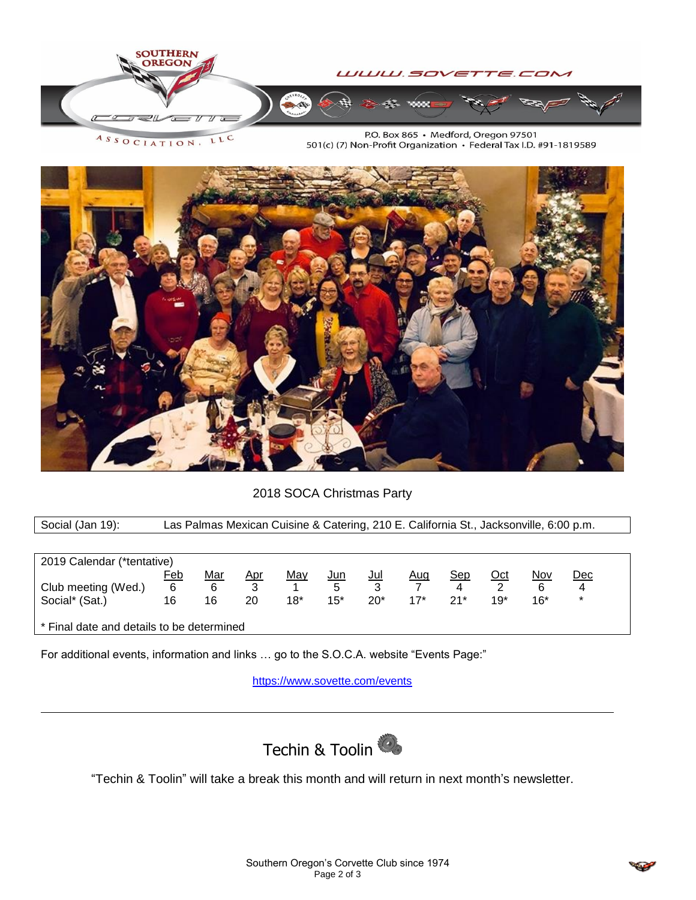

ASSOCIATION. LLC

P.O. Box 865 · Medford, Oregon 97501 501(c) (7) Non-Profit Organization · Federal Tax I.D. #91-1819589



# 2018 SOCA Christmas Party

Social (Jan 19): Las Palmas Mexican Cuisine & Catering, 210 E. California St., Jacksonville, 6:00 p.m.

| 2019 Calendar (*tentative)                |     |            |            |            |            |            |            |       |            |            |        |
|-------------------------------------------|-----|------------|------------|------------|------------|------------|------------|-------|------------|------------|--------|
|                                           | Feb | <u>Mar</u> | <u>Apr</u> | <u>May</u> | <u>Jun</u> | <u>Jul</u> | <u>Aug</u> | Sep   | <u>Oct</u> | <u>Nov</u> | Dec    |
| Club meeting (Wed.)                       | 6   | 6          | 3          |            | 5          |            |            |       |            | 6          | 4      |
| Social* (Sat.)                            | 16  | 16         | 20         | 18*        | $15*$      | $20*$      | $17*$      | $21*$ | 19*        | $16*$      | $\ast$ |
|                                           |     |            |            |            |            |            |            |       |            |            |        |
| * Final date and details to be determined |     |            |            |            |            |            |            |       |            |            |        |

For additional events, information and links … go to the S.O.C.A. website "Events Page:"

<https://www.sovette.com/events>



"Techin & Toolin" will take a break this month and will return in next month's newsletter.